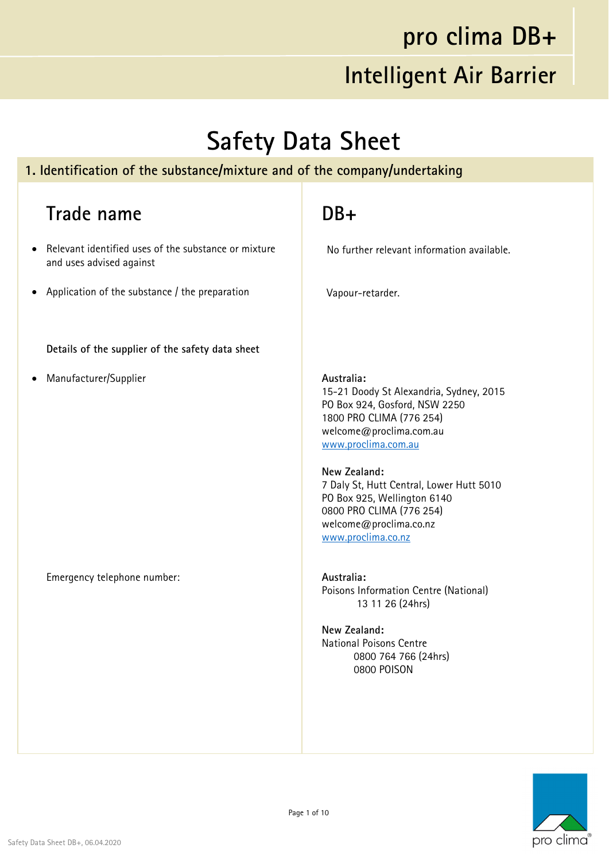#### **pro clima DB+**

#### **Intelligent Air Barrier**

#### **Safety Data Sheet**

#### **1. Identification of the substance/mixture and of the company/undertaking**

#### **Trade name**

- Relevant identified uses of the substance or mixture and uses advised against
- Application of the substance / the preparation

**Details of the supplier of the safety data sheet**

Manufacturer/Supplier

Emergency telephone number:

#### **DB+**

No further relevant information available.

Vapour-retarder.

**Australia:**  15-21 Doody St Alexandria, Sydney, 2015 PO Box 924, Gosford, NSW 2250 1800 PRO CLIMA (776 254) welcome@proclima.com.au www.proclima.com.au

**New Zealand:**  7 Daly St, Hutt Central, Lower Hutt 5010 PO Box 925, Wellington 6140 0800 PRO CLIMA (776 254) welcome@proclima.co.nz www.proclima.co.nz

**Australia:**  Poisons Information Centre (National) 13 11 26 (24hrs)

**New Zealand:**  National Poisons Centre 0800 764 766 (24hrs) 0800 POISON

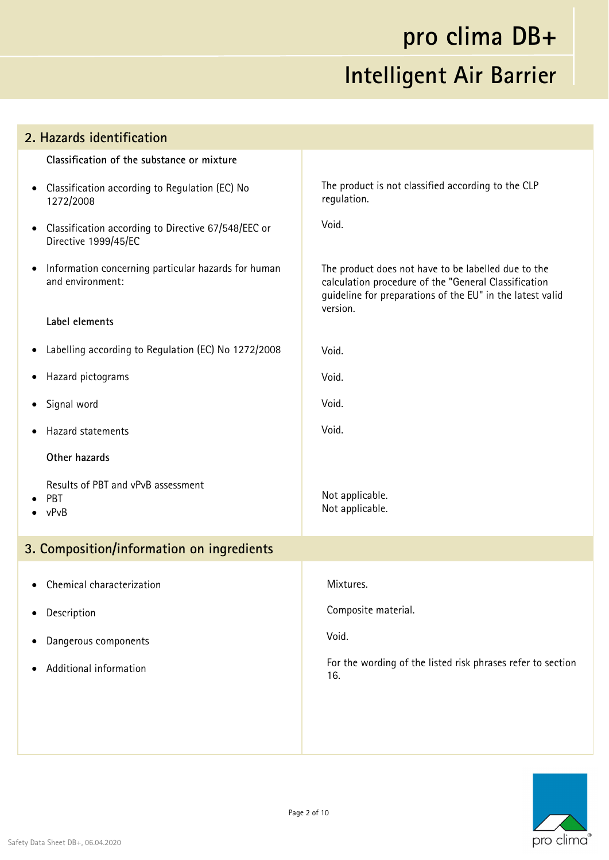| 2. Hazards identification                 |                                                                             |                                                                                                                                                                                      |  |
|-------------------------------------------|-----------------------------------------------------------------------------|--------------------------------------------------------------------------------------------------------------------------------------------------------------------------------------|--|
|                                           | Classification of the substance or mixture                                  |                                                                                                                                                                                      |  |
| $\bullet$                                 | Classification according to Regulation (EC) No<br>1272/2008                 | The product is not classified according to the CLP<br>regulation.                                                                                                                    |  |
| $\bullet$                                 | Classification according to Directive 67/548/EEC or<br>Directive 1999/45/EC | Void.                                                                                                                                                                                |  |
| $\bullet$                                 | Information concerning particular hazards for human<br>and environment:     | The product does not have to be labelled due to the<br>calculation procedure of the "General Classification<br>guideline for preparations of the EU" in the latest valid<br>version. |  |
|                                           | Label elements                                                              |                                                                                                                                                                                      |  |
| $\bullet$                                 | Labelling according to Regulation (EC) No 1272/2008                         | Void.                                                                                                                                                                                |  |
| $\bullet$                                 | Hazard pictograms                                                           | Void.                                                                                                                                                                                |  |
| $\bullet$                                 | Signal word                                                                 | Void.                                                                                                                                                                                |  |
|                                           | Hazard statements                                                           | Void.                                                                                                                                                                                |  |
|                                           | Other hazards                                                               |                                                                                                                                                                                      |  |
| PBT<br>vPvB                               | Results of PBT and vPvB assessment                                          | Not applicable.<br>Not applicable.                                                                                                                                                   |  |
| 3. Composition/information on ingredients |                                                                             |                                                                                                                                                                                      |  |
|                                           | • Chemical characterization                                                 | Mixtures.                                                                                                                                                                            |  |
|                                           | Description                                                                 | Composite material.                                                                                                                                                                  |  |
| ٠                                         | Dangerous components                                                        | Void.                                                                                                                                                                                |  |
|                                           | Additional information                                                      | For the wording of the listed risk phrases refer to section<br>16.                                                                                                                   |  |
|                                           |                                                                             |                                                                                                                                                                                      |  |
|                                           |                                                                             |                                                                                                                                                                                      |  |
|                                           |                                                                             |                                                                                                                                                                                      |  |

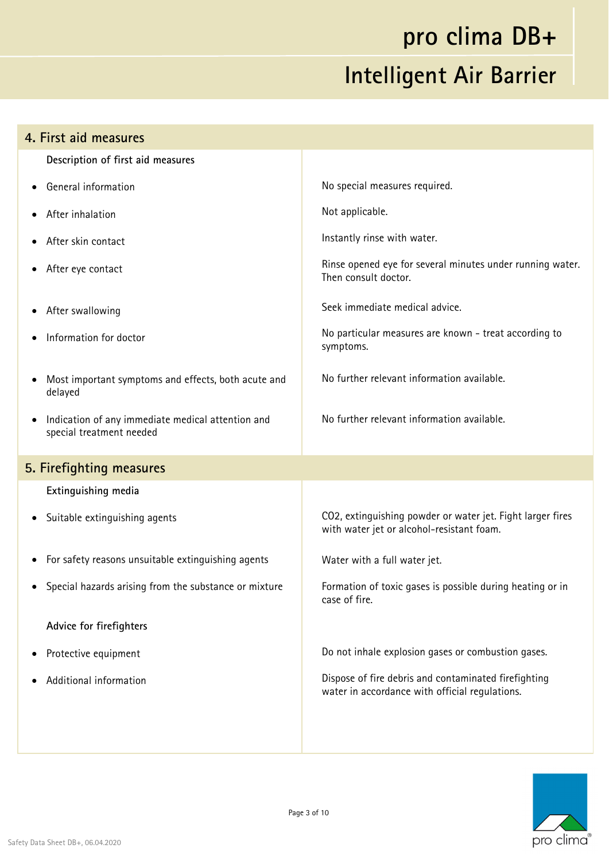| 4. First aid measures                                                         |                                                                                                         |  |
|-------------------------------------------------------------------------------|---------------------------------------------------------------------------------------------------------|--|
| Description of first aid measures                                             |                                                                                                         |  |
| <b>General information</b>                                                    | No special measures required.                                                                           |  |
| After inhalation                                                              | Not applicable.                                                                                         |  |
| After skin contact                                                            | Instantly rinse with water.                                                                             |  |
| After eye contact                                                             | Rinse opened eye for several minutes under running water.<br>Then consult doctor.                       |  |
| After swallowing                                                              | Seek immediate medical advice.                                                                          |  |
| Information for doctor                                                        | No particular measures are known - treat according to<br>symptoms.                                      |  |
| Most important symptoms and effects, both acute and<br>delayed                | No further relevant information available.                                                              |  |
| Indication of any immediate medical attention and<br>special treatment needed | No further relevant information available.                                                              |  |
| 5. Firefighting measures                                                      |                                                                                                         |  |
| Extinguishing media                                                           |                                                                                                         |  |
| • Suitable extinguishing agents                                               | CO2, extinguishing powder or water jet. Fight larger fires<br>with water jet or alcohol-resistant foam. |  |
| • For safety reasons unsuitable extinguishing agents                          | Water with a full water jet.                                                                            |  |
| Special hazards arising from the substance or mixture                         | Formation of toxic gases is possible during heating or in<br>case of fire.                              |  |
| Advice for firefighters                                                       |                                                                                                         |  |
| Protective equipment                                                          | Do not inhale explosion gases or combustion gases.                                                      |  |
| Additional information                                                        | Dispose of fire debris and contaminated firefighting<br>water in accordance with official regulations.  |  |
|                                                                               |                                                                                                         |  |

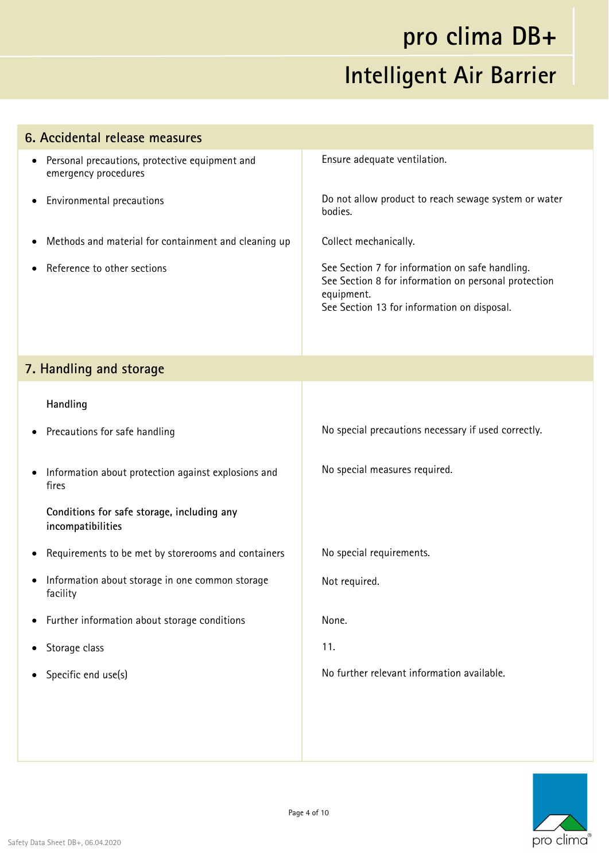| 6. Accidental release measures                                                      |                                                                                                                                                                      |  |
|-------------------------------------------------------------------------------------|----------------------------------------------------------------------------------------------------------------------------------------------------------------------|--|
| Personal precautions, protective equipment and<br>$\bullet$<br>emergency procedures | Ensure adequate ventilation.                                                                                                                                         |  |
| Environmental precautions<br>$\bullet$                                              | Do not allow product to reach sewage system or water<br>bodies.                                                                                                      |  |
| Methods and material for containment and cleaning up<br>$\bullet$                   | Collect mechanically.                                                                                                                                                |  |
| Reference to other sections                                                         | See Section 7 for information on safe handling.<br>See Section 8 for information on personal protection<br>equipment.<br>See Section 13 for information on disposal. |  |
| 7. Handling and storage                                                             |                                                                                                                                                                      |  |
| Handling                                                                            |                                                                                                                                                                      |  |
| Precautions for safe handling                                                       | No special precautions necessary if used correctly.                                                                                                                  |  |
| Information about protection against explosions and<br>$\bullet$<br>fires           | No special measures required.                                                                                                                                        |  |
| Conditions for safe storage, including any<br>incompatibilities                     |                                                                                                                                                                      |  |
| Requirements to be met by storerooms and containers                                 | No special requirements.                                                                                                                                             |  |
| Information about storage in one common storage<br>facility                         | Not required.                                                                                                                                                        |  |
| Further information about storage conditions<br>$\bullet$                           | None.                                                                                                                                                                |  |
| Storage class<br>$\bullet$                                                          | 11.                                                                                                                                                                  |  |
| Specific end use(s)                                                                 | No further relevant information available.                                                                                                                           |  |
|                                                                                     |                                                                                                                                                                      |  |
|                                                                                     |                                                                                                                                                                      |  |

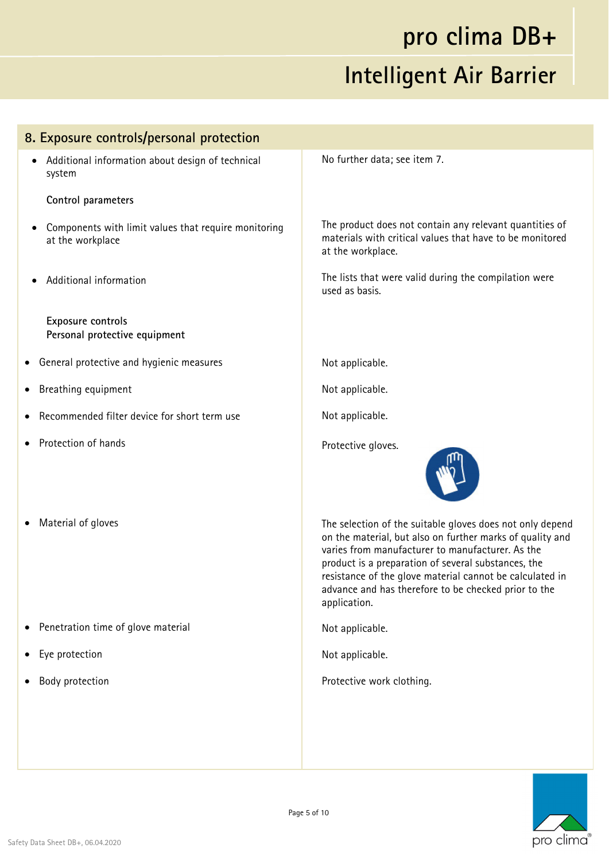| 8. Exposure controls/personal protection                                 |                                                                                                                                                                                                                                                                                                                                                                       |  |
|--------------------------------------------------------------------------|-----------------------------------------------------------------------------------------------------------------------------------------------------------------------------------------------------------------------------------------------------------------------------------------------------------------------------------------------------------------------|--|
| Additional information about design of technical<br>٠<br>system          | No further data; see item 7.                                                                                                                                                                                                                                                                                                                                          |  |
| Control parameters                                                       |                                                                                                                                                                                                                                                                                                                                                                       |  |
| Components with limit values that require monitoring<br>at the workplace | The product does not contain any relevant quantities of<br>materials with critical values that have to be monitored<br>at the workplace.                                                                                                                                                                                                                              |  |
| Additional information                                                   | The lists that were valid during the compilation were<br>used as basis.                                                                                                                                                                                                                                                                                               |  |
| Exposure controls<br>Personal protective equipment                       |                                                                                                                                                                                                                                                                                                                                                                       |  |
| General protective and hygienic measures                                 | Not applicable.                                                                                                                                                                                                                                                                                                                                                       |  |
| Breathing equipment<br>٠                                                 | Not applicable.                                                                                                                                                                                                                                                                                                                                                       |  |
| Recommended filter device for short term use                             | Not applicable.                                                                                                                                                                                                                                                                                                                                                       |  |
| Protection of hands                                                      | Protective gloves.                                                                                                                                                                                                                                                                                                                                                    |  |
| Material of gloves                                                       | The selection of the suitable gloves does not only depend<br>on the material, but also on further marks of quality and<br>varies from manufacturer to manufacturer. As the<br>product is a preparation of several substances, the<br>resistance of the glove material cannot be calculated in<br>advance and has therefore to be checked prior to the<br>application. |  |
| Penetration time of glove material                                       | Not applicable.                                                                                                                                                                                                                                                                                                                                                       |  |
| Eye protection<br>٠                                                      | Not applicable.                                                                                                                                                                                                                                                                                                                                                       |  |
| Body protection                                                          | Protective work clothing.                                                                                                                                                                                                                                                                                                                                             |  |
|                                                                          |                                                                                                                                                                                                                                                                                                                                                                       |  |
|                                                                          |                                                                                                                                                                                                                                                                                                                                                                       |  |

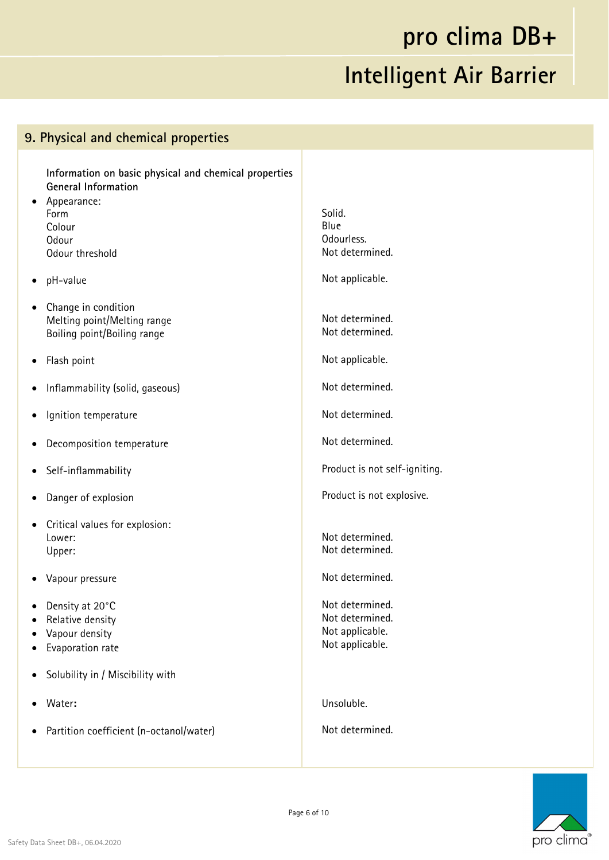#### **9. Physical and chemical properties Information on basic physical and chemical properties General Information**  • Appearance: Form Colour **Odour** Odour threshold pH-value • Change in condition Melting point/Melting range Boiling point/Boiling range Flash point Inflammability (solid, gaseous) Ignition temperature Decomposition temperature Self-inflammability Danger of explosion Critical values for explosion: Lower: Upper: Vapour pressure Density at 20°C • Relative density Vapour density Evaporation rate Solubility in / Miscibility with Water**:**  Partition coefficient (n-octanol/water) Solid. Blue Odourless. Not determined. Not applicable. Not determined. Not determined. Not applicable. Not determined. Not determined. Not determined. Product is not self-igniting. Product is not explosive. Not determined. Not determined. Not determined. Not determined. Not determined. Not applicable. Not applicable. Unsoluble. Not determined.

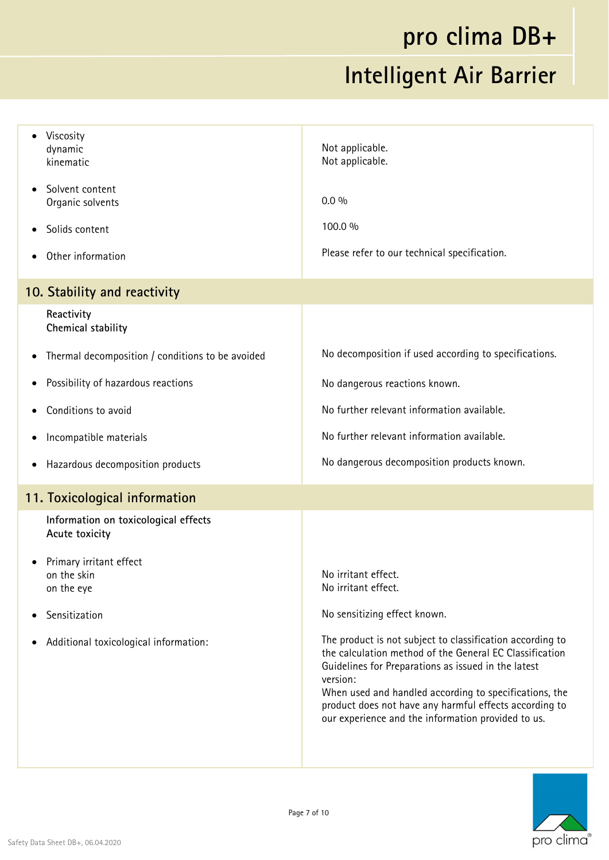| Viscosity<br>dynamic<br>kinematic                             | Not applicable.<br>Not applicable.                                                                                                                                                                                                                                                                                                                                |  |  |
|---------------------------------------------------------------|-------------------------------------------------------------------------------------------------------------------------------------------------------------------------------------------------------------------------------------------------------------------------------------------------------------------------------------------------------------------|--|--|
| Solvent content<br>$\bullet$<br>Organic solvents              | $0.0\%$                                                                                                                                                                                                                                                                                                                                                           |  |  |
| Solids content                                                | 100.0 %                                                                                                                                                                                                                                                                                                                                                           |  |  |
| Other information                                             | Please refer to our technical specification.                                                                                                                                                                                                                                                                                                                      |  |  |
| 10. Stability and reactivity                                  |                                                                                                                                                                                                                                                                                                                                                                   |  |  |
| Reactivity<br>Chemical stability                              |                                                                                                                                                                                                                                                                                                                                                                   |  |  |
| Thermal decomposition / conditions to be avoided<br>$\bullet$ | No decomposition if used according to specifications.                                                                                                                                                                                                                                                                                                             |  |  |
| Possibility of hazardous reactions<br>$\bullet$               | No dangerous reactions known.                                                                                                                                                                                                                                                                                                                                     |  |  |
| Conditions to avoid                                           | No further relevant information available.                                                                                                                                                                                                                                                                                                                        |  |  |
| Incompatible materials                                        | No further relevant information available.                                                                                                                                                                                                                                                                                                                        |  |  |
| Hazardous decomposition products                              | No dangerous decomposition products known.                                                                                                                                                                                                                                                                                                                        |  |  |
| 11. Toxicological information                                 |                                                                                                                                                                                                                                                                                                                                                                   |  |  |
| Information on toxicological effects<br>Acute toxicity        |                                                                                                                                                                                                                                                                                                                                                                   |  |  |
| Primary irritant effect<br>on the skin<br>on the eye          | No irritant effect.<br>No irritant effect.                                                                                                                                                                                                                                                                                                                        |  |  |
| Sensitization                                                 | No sensitizing effect known.                                                                                                                                                                                                                                                                                                                                      |  |  |
| Additional toxicological information:                         | The product is not subject to classification according to<br>the calculation method of the General EC Classification<br>Guidelines for Preparations as issued in the latest<br>version:<br>When used and handled according to specifications, the<br>product does not have any harmful effects according to<br>our experience and the information provided to us. |  |  |
|                                                               |                                                                                                                                                                                                                                                                                                                                                                   |  |  |

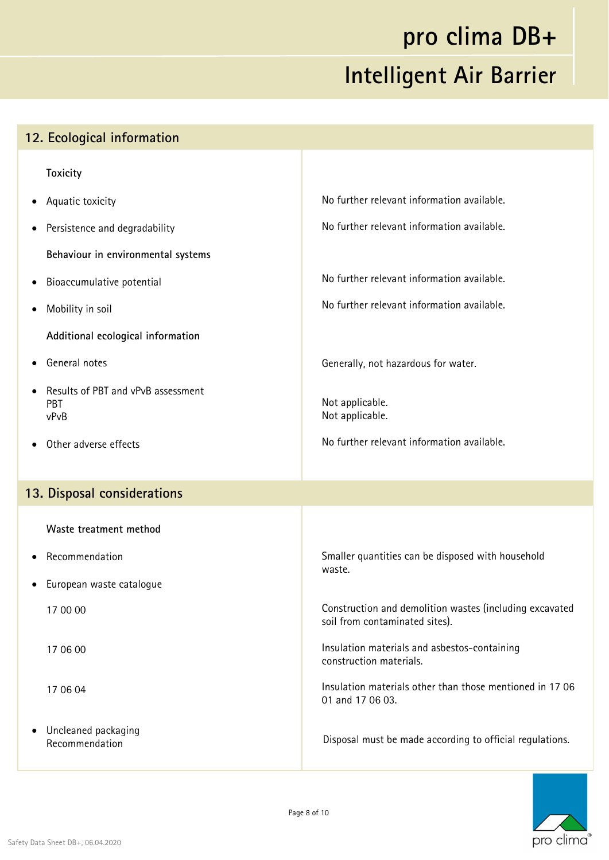| 12. Ecological information                        |                                                                                           |  |
|---------------------------------------------------|-------------------------------------------------------------------------------------------|--|
| <b>Toxicity</b>                                   |                                                                                           |  |
| Aquatic toxicity<br>٠                             | No further relevant information available.                                                |  |
| Persistence and degradability<br>$\bullet$        | No further relevant information available.                                                |  |
| Behaviour in environmental systems                |                                                                                           |  |
| Bioaccumulative potential<br>$\bullet$            | No further relevant information available.                                                |  |
| Mobility in soil<br>٠                             | No further relevant information available.                                                |  |
| Additional ecological information                 |                                                                                           |  |
| General notes                                     | Generally, not hazardous for water.                                                       |  |
| Results of PBT and vPvB assessment<br>PBT<br>vPvB | Not applicable.<br>Not applicable.                                                        |  |
| Other adverse effects                             | No further relevant information available.                                                |  |
|                                                   |                                                                                           |  |
| 13. Disposal considerations                       |                                                                                           |  |
| Waste treatment method                            |                                                                                           |  |
| Recommendation                                    | Smaller quantities can be disposed with household<br>waste.                               |  |
| European waste catalogue                          |                                                                                           |  |
| 17 00 00                                          | Construction and demolition wastes (including excavated<br>soil from contaminated sites). |  |
| 17 06 00                                          | Insulation materials and asbestos-containing<br>construction materials.                   |  |
| 17 06 04                                          | Insulation materials other than those mentioned in 1706<br>01 and 17 06 03.               |  |
| Uncleaned packaging<br>٠<br>Recommendation        | Disposal must be made according to official regulations.                                  |  |

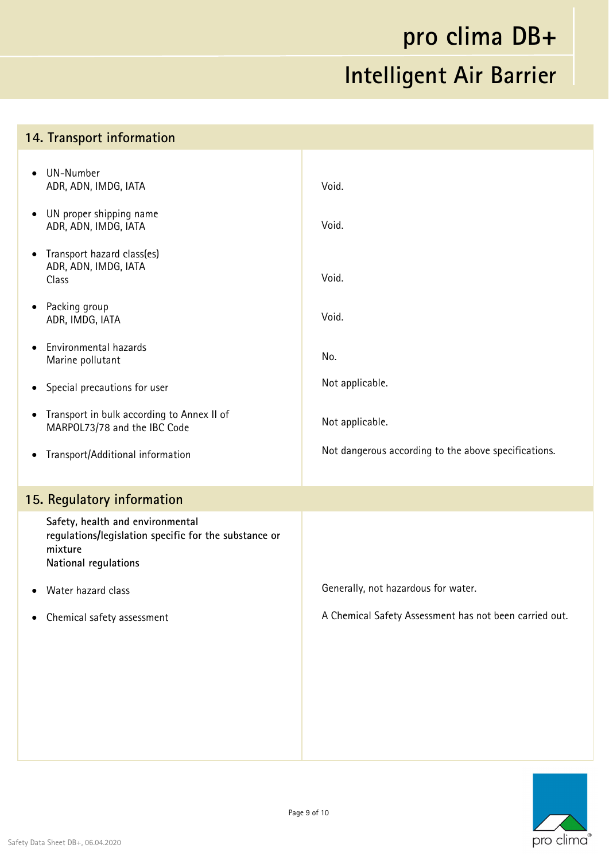#### **14. Transport information**  UN-Number ADR, ADN, IMDG, IATA UN proper shipping name ADR, ADN, IMDG, IATA • Transport hazard class(es) ADR, ADN, IMDG, IATA Class • Packing group ADR, IMDG, IATA Environmental hazards Marine pollutant • Special precautions for user • Transport in bulk according to Annex II of MARPOL73/78 and the IBC Code Transport/Additional information Void. Void. Void. Void. No. Not applicable. Not applicable. Not dangerous according to the above specifications. **15. Regulatory information Safety, health and environmental regulations/legislation specific for the substance or mixture National regulations**  Water hazard class Chemical safety assessment Generally, not hazardous for water. A Chemical Safety Assessment has not been carried out.